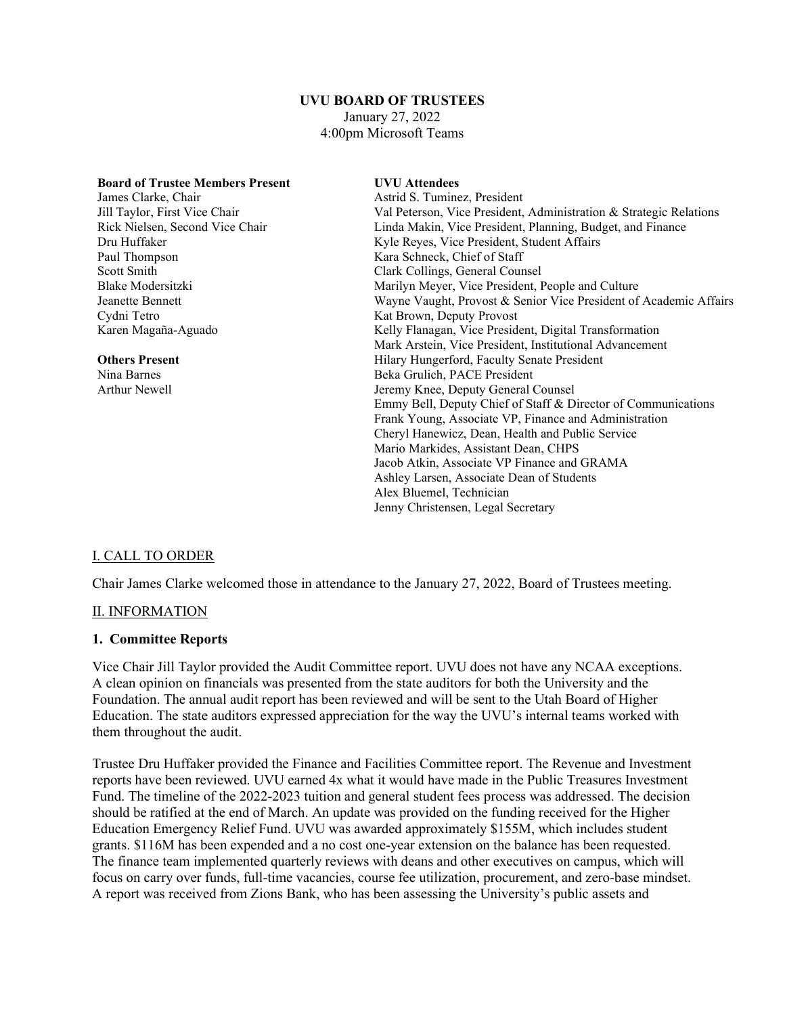# **UVU BOARD OF TRUSTEES**

January 27, 2022 4:00pm Microsoft Teams

| <b>Board of Trustee Members Present</b> | <b>UVU</b> Attendees                                               |
|-----------------------------------------|--------------------------------------------------------------------|
| James Clarke, Chair                     | Astrid S. Tuminez, President                                       |
| Jill Taylor, First Vice Chair           | Val Peterson, Vice President, Administration & Strategic Relations |
| Rick Nielsen, Second Vice Chair         | Linda Makin, Vice President, Planning, Budget, and Finance         |
| Dru Huffaker                            | Kyle Reyes, Vice President, Student Affairs                        |
| Paul Thompson                           | Kara Schneck, Chief of Staff                                       |
| Scott Smith                             | Clark Collings, General Counsel                                    |
| Blake Modersitzki                       | Marilyn Meyer, Vice President, People and Culture                  |
| Jeanette Bennett                        | Wayne Vaught, Provost & Senior Vice President of Academic Affairs  |
| Cydni Tetro                             | Kat Brown, Deputy Provost                                          |
| Karen Magaña-Aguado                     | Kelly Flanagan, Vice President, Digital Transformation             |
|                                         | Mark Arstein, Vice President, Institutional Advancement            |
| <b>Others Present</b>                   | Hilary Hungerford, Faculty Senate President                        |
| Nina Barnes                             | Beka Grulich, PACE President                                       |
| Arthur Newell                           | Jeremy Knee, Deputy General Counsel                                |
|                                         | Emmy Bell, Deputy Chief of Staff & Director of Communications      |
|                                         | Frank Young, Associate VP, Finance and Administration              |
|                                         | Cheryl Hanewicz, Dean, Health and Public Service                   |
|                                         | Mario Markides, Assistant Dean, CHPS                               |
|                                         | Jacob Atkin, Associate VP Finance and GRAMA                        |
|                                         | Ashley Larsen, Associate Dean of Students                          |
|                                         | Alex Bluemel, Technician                                           |
|                                         | Jenny Christensen, Legal Secretary                                 |

#### I. CALL TO ORDER

Chair James Clarke welcomed those in attendance to the January 27, 2022, Board of Trustees meeting.

#### II. INFORMATION

#### **1. Committee Reports**

Vice Chair Jill Taylor provided the Audit Committee report. UVU does not have any NCAA exceptions. A clean opinion on financials was presented from the state auditors for both the University and the Foundation. The annual audit report has been reviewed and will be sent to the Utah Board of Higher Education. The state auditors expressed appreciation for the way the UVU's internal teams worked with them throughout the audit.

Trustee Dru Huffaker provided the Finance and Facilities Committee report. The Revenue and Investment reports have been reviewed. UVU earned 4x what it would have made in the Public Treasures Investment Fund. The timeline of the 2022-2023 tuition and general student fees process was addressed. The decision should be ratified at the end of March. An update was provided on the funding received for the Higher Education Emergency Relief Fund. UVU was awarded approximately \$155M, which includes student grants. \$116M has been expended and a no cost one-year extension on the balance has been requested. The finance team implemented quarterly reviews with deans and other executives on campus, which will focus on carry over funds, full-time vacancies, course fee utilization, procurement, and zero-base mindset. A report was received from Zions Bank, who has been assessing the University's public assets and